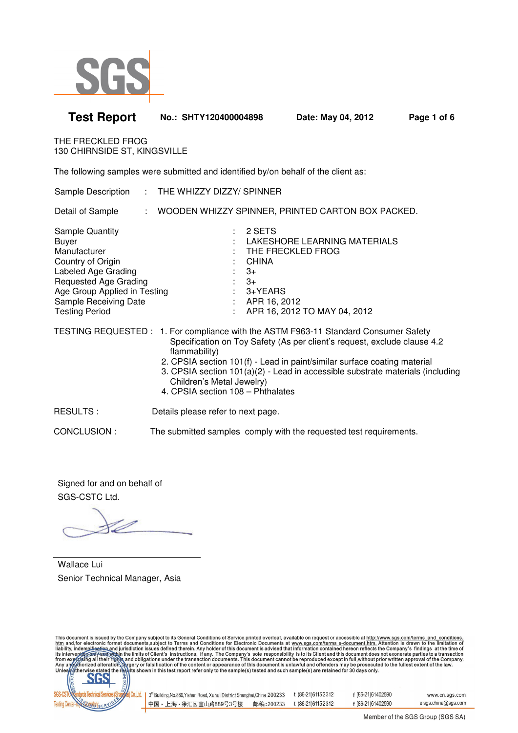

| <b>Test Report</b>                                                                                                                                                                                                   | No.: SHTY120400004898                                                              |                                                                     | Date: May 04, 2012                                                                                                                                                                                                                                                                                                            | Page 1 of 6 |
|----------------------------------------------------------------------------------------------------------------------------------------------------------------------------------------------------------------------|------------------------------------------------------------------------------------|---------------------------------------------------------------------|-------------------------------------------------------------------------------------------------------------------------------------------------------------------------------------------------------------------------------------------------------------------------------------------------------------------------------|-------------|
| THE FRECKLED FROG<br>130 CHIRNSIDE ST, KINGSVILLE                                                                                                                                                                    |                                                                                    |                                                                     |                                                                                                                                                                                                                                                                                                                               |             |
|                                                                                                                                                                                                                      | The following samples were submitted and identified by/on behalf of the client as: |                                                                     |                                                                                                                                                                                                                                                                                                                               |             |
| Sample Description                                                                                                                                                                                                   | : THE WHIZZY DIZZY/ SPINNER                                                        |                                                                     |                                                                                                                                                                                                                                                                                                                               |             |
| Detail of Sample                                                                                                                                                                                                     |                                                                                    |                                                                     | : WOODEN WHIZZY SPINNER, PRINTED CARTON BOX PACKED.                                                                                                                                                                                                                                                                           |             |
| <b>Sample Quantity</b><br><b>Buyer</b><br>Manufacturer<br>Country of Origin<br>Labeled Age Grading<br><b>Requested Age Grading</b><br>Age Group Applied in Testing<br>Sample Receiving Date<br><b>Testing Period</b> |                                                                                    | 2 SETS<br><b>CHINA</b><br>$3+$<br>$3+$<br>3+YEARS<br>: APR 16, 2012 | LAKESHORE LEARNING MATERIALS<br>THE FRECKLED FROG<br>APR 16, 2012 TO MAY 04, 2012                                                                                                                                                                                                                                             |             |
|                                                                                                                                                                                                                      | flammability)<br>Children's Metal Jewelry)<br>4. CPSIA section 108 - Phthalates    |                                                                     | TESTING REQUESTED: 1. For compliance with the ASTM F963-11 Standard Consumer Safety<br>Specification on Toy Safety (As per client's request, exclude clause 4.2<br>2. CPSIA section 101(f) - Lead in paint/similar surface coating material<br>3. CPSIA section 101(a)(2) - Lead in accessible substrate materials (including |             |
| <b>RESULTS:</b>                                                                                                                                                                                                      | Details please refer to next page.                                                 |                                                                     |                                                                                                                                                                                                                                                                                                                               |             |
| CONCLUSION:                                                                                                                                                                                                          |                                                                                    |                                                                     | The submitted samples comply with the requested test requirements.                                                                                                                                                                                                                                                            |             |

Signed for and on behalf of SGS-CSTC Ltd.

Wallace Lui Senior Technical Manager, Asia

This document is issued by the Company subject to its General Conditions of Service printed overleaf, available on request or accessible at http://www.sgs.com/terms\_and\_conditions<br>htm\_and,for electronic format documents,s



| . <sup>td.</sup>   3 <sup>rd</sup> Building, No.889, Yishan Road, Xuhui District Shanghai, China 200233 |           | t (86-21)61152312 | f (86-21)61402590 | www.cn.sgs.com      |
|---------------------------------------------------------------------------------------------------------|-----------|-------------------|-------------------|---------------------|
| ┃中国・上海・徐汇区宜山路889号3号楼                                                                                    | 邮编:200233 | t (86-21)61152312 | f (86-21)61402590 | e sgs.china@sgs.com |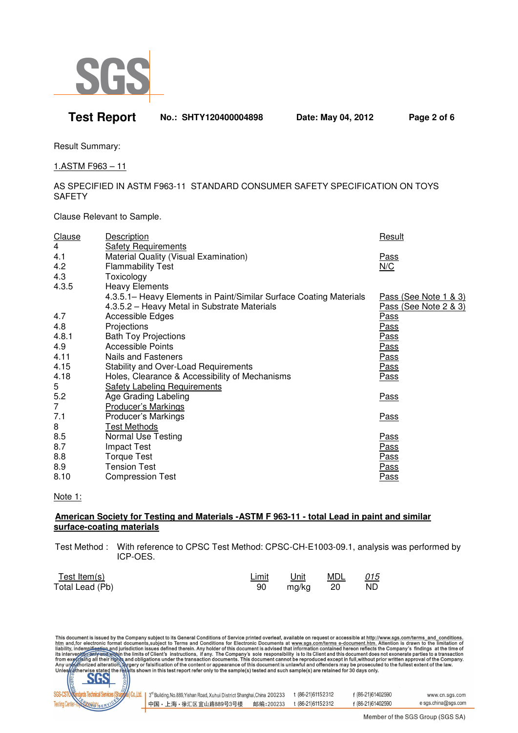

# **Test Report No.: SHTY120400004898 Date: May 04, 2012 Page 2 of 6**

Result Summary:

1.ASTM F963 – 11

### AS SPECIFIED IN ASTM F963-11 STANDARD CONSUMER SAFETY SPECIFICATION ON TOYS **SAFETY**

Clause Relevant to Sample.

| <b>Clause</b>  | <b>Description</b>                                                 | Result                |
|----------------|--------------------------------------------------------------------|-----------------------|
| $\overline{4}$ | <b>Safety Requirements</b>                                         |                       |
| 4.1            | Material Quality (Visual Examination)                              | <u>Pass</u>           |
| 4.2            | <b>Flammability Test</b>                                           | N/C                   |
| 4.3            | Toxicology                                                         |                       |
| 4.3.5          | <b>Heavy Elements</b>                                              |                       |
|                | 4.3.5.1– Heavy Elements in Paint/Similar Surface Coating Materials | Pass (See Note 1 & 3) |
|                | 4.3.5.2 - Heavy Metal in Substrate Materials                       | Pass (See Note 2 & 3) |
| 4.7            | Accessible Edges                                                   | Pass                  |
| 4.8            | Projections                                                        | <u>Pass</u>           |
| 4.8.1          | <b>Bath Toy Projections</b>                                        | <u>Pass</u>           |
| 4.9            | <b>Accessible Points</b>                                           | <u>Pass</u>           |
| 4.11           | <b>Nails and Fasteners</b>                                         | <u>Pass</u>           |
| 4.15           | Stability and Over-Load Requirements                               | <u>Pass</u>           |
| 4.18           | Holes, Clearance & Accessibility of Mechanisms                     | Pass                  |
| 5              | <b>Safety Labeling Requirements</b>                                |                       |
| 5.2            | Age Grading Labeling                                               | <b>Pass</b>           |
| $\overline{7}$ | <b>Producer's Markings</b>                                         |                       |
| 7.1            | Producer's Markings                                                | <b>Pass</b>           |
| 8              | Test Methods                                                       |                       |
| 8.5            | <b>Normal Use Testing</b>                                          | <u>Pass</u>           |
| 8.7            | <b>Impact Test</b>                                                 | <u>Pass</u>           |
| 8.8            | <b>Torque Test</b>                                                 | <u>Pass</u>           |
| 8.9            | <b>Tension Test</b>                                                | <u>Pass</u>           |
| 8.10           | <b>Compression Test</b>                                            | Pass                  |

#### Note 1:

## **American Society for Testing and Materials -ASTM F 963-11 - total Lead in paint and similar surface-coating materials**

 Test Method : With reference to CPSC Test Method: CPSC-CH-E1003-09.1, analysis was performed by ICP-OES.

| Test Item(s)    | <u>Limit</u> | Unit     | <u>MDL 015</u> |     |
|-----------------|--------------|----------|----------------|-----|
| Total Lead (Pb) | 90           | mg/kg 20 |                | ND. |

This document is issued by the Company subject to its General Conditions of Service printed overleaf, available on request or accessible at http://www.sgs.com/terms\_and\_conditions.<br>htm\_and,for electronic format documents,



| 3 <sup>rd</sup> Building, No.889, Yishan Road, Xuhui District Shanghai, China 200233 |           | t (86-21)61152312 | f (86-21)61402590 | www.cn.sgs.com      |
|--------------------------------------------------------------------------------------|-----------|-------------------|-------------------|---------------------|
| ┃中国・上海・徐汇区宜山路889号3号楼                                                                 | 邮编:200233 | t (86-21)61152312 | f (86-21)61402590 | e sgs.china@sgs.com |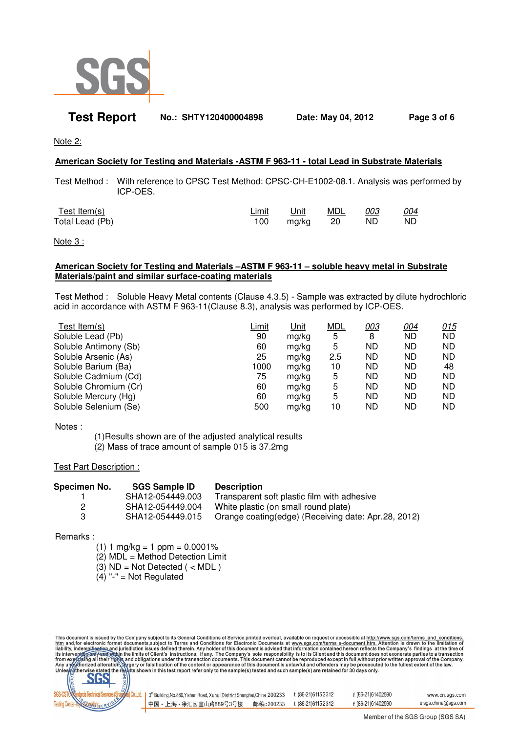

## **Test Report No.: SHTY120400004898 Date: May 04, 2012 Page 3 of 6**

Note 2:

### **American Society for Testing and Materials -ASTM F 963-11 - total Lead in Substrate Materials**

 Test Method : With reference to CPSC Test Method: CPSC-CH-E1002-08.1. Analysis was performed by ICP-OES.

| Test Item(s)    | <u>Limit</u> | <u>Unit</u> | <u>MDL</u> | 003 | <u>004</u> |
|-----------------|--------------|-------------|------------|-----|------------|
| Total Lead (Pb) | 100          | mg/kg       | $\sim$ 20  | ND. | ND.        |

Note 3 :

#### **American Society for Testing and Materials –ASTM F 963-11 – soluble heavy metal in Substrate Materials/paint and similar surface-coating materials**

 Test Method : Soluble Heavy Metal contents (Clause 4.3.5) - Sample was extracted by dilute hydrochloric acid in accordance with ASTM F 963-11(Clause 8.3), analysis was performed by ICP-OES.

| <u>Limit</u> | Unit  | <b>MDL</b> | 003       | <u>004</u> | 015       |
|--------------|-------|------------|-----------|------------|-----------|
| 90           | mg/kg | 5          | 8         | ND.        | ND        |
| 60           | ma/ka | 5          | <b>ND</b> | ND.        | <b>ND</b> |
| 25           | ma/ka | 2.5        | <b>ND</b> | <b>ND</b>  | <b>ND</b> |
| 1000         | ma/ka | 10         | ND        | <b>ND</b>  | 48        |
| 75           | ma/ka | 5          | <b>ND</b> | ND         | <b>ND</b> |
| 60           | mg/kg | 5          | <b>ND</b> | <b>ND</b>  | <b>ND</b> |
| 60           | mg/kg | 5          | <b>ND</b> | <b>ND</b>  | <b>ND</b> |
| 500          | mg/kg | 10         | <b>ND</b> | ND         | <b>ND</b> |
|              |       |            |           |            |           |

Notes :

 (1)Results shown are of the adjusted analytical results (2) Mass of trace amount of sample 015 is 37.2mg

Test Part Description :

| Specimen No. | <b>SGS Sample ID</b> | <b>Description</b>                                  |
|--------------|----------------------|-----------------------------------------------------|
|              | SHA12-054449.003     | Transparent soft plastic film with adhesive         |
|              | SHA12-054449.004     | White plastic (on small round plate)                |
| з            | SHA12-054449.015     | Orange coating(edge) (Receiving date: Apr.28, 2012) |

Remarks :

 $(1)$  1 mg/kg = 1 ppm = 0.0001% (2) MDL = Method Detection Limit (3)  $ND = Not Detection$  ( < MDL )

 $(4)$  "-" = Not Regulated

This document is issued by the Company subject to its General Conditions of Service printed overleaf, available on request or accessible at http://www.sgs.com/terms\_and\_conditions.<br>htm and, for electronic format documents,



| .   3 <sup>™</sup> Building, No.889, Yishan Road, Xuhui District Shanghai, China 200233 |           | t (86-21) 61152312 | f (86-21)61402590 | www.cn.sgs.com      |
|-----------------------------------------------------------------------------------------|-----------|--------------------|-------------------|---------------------|
| ┃中国・上海・徐汇区 宜山路889号3号楼                                                                   | 邮编:200233 | t (86-21)61152312  | f (86-21)61402590 | e sgs.china@sgs.com |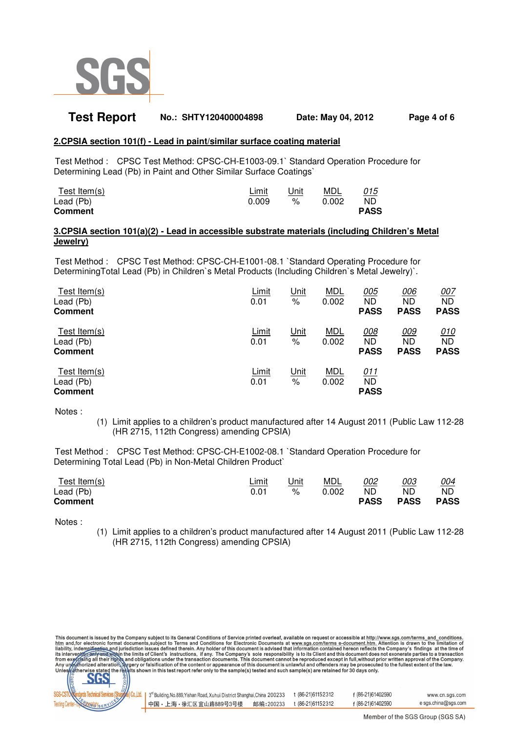

## **Test Report No.: SHTY120400004898 Date: May 04, 2012 Page 4 of 6**

#### **2.CPSIA section 101(f) - Lead in paint/similar surface coating material**

 Test Method : CPSC Test Method: CPSC-CH-E1003-09.1` Standard Operation Procedure for Determining Lead (Pb) in Paint and Other Similar Surface Coatings`

| Test Item(s)   | Limit | Unit | MDL   | 015<br>$\sim$ |
|----------------|-------|------|-------|---------------|
| Lead (Pb)      | 0.009 | %    | 0.002 | ND            |
| <b>Comment</b> |       |      |       | <b>PASS</b>   |

#### **3.CPSIA section 101(a)(2) - Lead in accessible substrate materials (including Children's Metal Jewelry)**

 Test Method : CPSC Test Method: CPSC-CH-E1001-08.1 `Standard Operating Procedure for DeterminingTotal Lead (Pb) in Children`s Metal Products (Including Children`s Metal Jewelry)`.

| Test Item $(s)$<br>Lead (Pb)<br><b>Comment</b> | Limit<br>0.01        | <u>Unit</u><br>%    | <b>MDL</b><br>0.002 | <u>005</u><br><b>ND</b><br><b>PASS</b> | 006<br><b>ND</b><br><b>PASS</b> | <u>007</u><br><b>ND</b><br><b>PASS</b> |
|------------------------------------------------|----------------------|---------------------|---------------------|----------------------------------------|---------------------------------|----------------------------------------|
| Test Item $(s)$<br>Lead (Pb)<br><b>Comment</b> | <u>Limit</u><br>0.01 | <u>Unit</u><br>$\%$ | <u>MDL</u><br>0.002 | <u>008</u><br><b>ND</b><br><b>PASS</b> | 009<br>ND<br><b>PASS</b>        | <u>010</u><br><b>ND</b><br><b>PASS</b> |
| Test Item(s)<br>Lead (Pb)<br><b>Comment</b>    | Limit<br>0.01        | <u>Unit</u><br>℅    | <b>MDL</b><br>0.002 | <u>011</u><br>ND<br><b>PASS</b>        |                                 |                                        |

Notes :

(1) Limit applies to a children's product manufactured after 14 August 2011 (Public Law 112-28 (HR 2715, 112th Congress) amending CPSIA)

 Test Method : CPSC Test Method: CPSC-CH-E1002-08.1 `Standard Operation Procedure for Determining Total Lead (Pb) in Non-Metal Children Product`

| Test Item(s)                | Limit | Unit | MDL   | 002               | 003        | <u>004</u>        |
|-----------------------------|-------|------|-------|-------------------|------------|-------------------|
| Lead (Pb)<br><b>Comment</b> |       | %    | 0.002 | ND<br><b>PASS</b> | ND<br>PASS | ND<br><b>PASS</b> |
|                             |       |      |       |                   |            |                   |

Notes :

(1) Limit applies to a children's product manufactured after 14 August 2011 (Public Law 112-28 (HR 2715, 112th Congress) amending CPSIA)

This document is issued by the Company subject to its General Conditions of Service printed overleaf, available on request or accessible at http://www.sgs.com/terms\_and\_conditions.<br>htm\_and,for electronic format documents,s



| . 3 <sup>rd</sup> Building, No.889, Yishan Road, Xuhui District Shanghai, China 200233 |           | t (86-21)61152312 | f (86-21)61402590 | www.cn.sgs.com      |
|----------------------------------------------------------------------------------------|-----------|-------------------|-------------------|---------------------|
| 中国・上海・徐汇区宜山路889号3号楼                                                                    | 邮编:200233 | t (86-21)61152312 | f (86-21)61402590 | e sgs.china@sgs.com |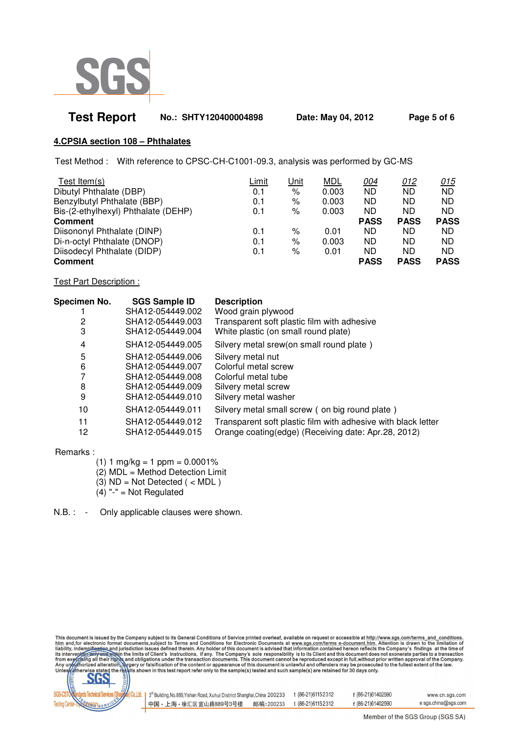

| <b>Test Report</b> | No.: SHTY120400004898 | Date: May 04, 2012 | Page 5 of 6 |
|--------------------|-----------------------|--------------------|-------------|
|                    |                       |                    |             |

## **4.CPSIA section 108 – Phthalates**

Test Method : With reference to CPSC-CH-C1001-09.3, analysis was performed by GC-MS

| Test Item $(s)$                     | Limit | <u>Unit</u> | <b>MDL</b> | <u>004</u>  | 012         | <u>015</u>  |
|-------------------------------------|-------|-------------|------------|-------------|-------------|-------------|
| Dibutyl Phthalate (DBP)             | 0.1   | %           | 0.003      | <b>ND</b>   | ND.         | ND.         |
| Benzylbutyl Phthalate (BBP)         | 0.1   | $\%$        | 0.003      | ND          | ND.         | <b>ND</b>   |
| Bis-(2-ethylhexyl) Phthalate (DEHP) | 0.1   | %           | 0.003      | ND          | ND.         | ND.         |
| <b>Comment</b>                      |       |             |            | <b>PASS</b> | <b>PASS</b> | <b>PASS</b> |
| Diisononyl Phthalate (DINP)         | 0.1   | %           | 0.01       | ND          | ND.         | ND.         |
| Di-n-octyl Phthalate (DNOP)         | 0.1   | %           | 0.003      | ND          | ND.         | ND.         |
| Diisodecyl Phthalate (DIDP)         | 0.1   | %           | 0.01       | <b>ND</b>   | ND.         | ND.         |
| <b>Comment</b>                      |       |             |            | <b>PASS</b> | <b>PASS</b> | <b>PASS</b> |

Test Part Description :

| Specimen No. | <b>SGS Sample ID</b> | <b>Description</b>                                            |
|--------------|----------------------|---------------------------------------------------------------|
|              | SHA12-054449.002     | Wood grain plywood                                            |
| 2            | SHA12-054449.003     | Transparent soft plastic film with adhesive                   |
| 3            | SHA12-054449.004     | White plastic (on small round plate)                          |
| 4            | SHA12-054449.005     | Silvery metal srew(on small round plate)                      |
| 5            | SHA12-054449.006     | Silvery metal nut                                             |
| 6            | SHA12-054449.007     | Colorful metal screw                                          |
|              | SHA12-054449.008     | Colorful metal tube                                           |
| 8            | SHA12-054449.009     | Silvery metal screw                                           |
| 9            | SHA12-054449.010     | Silvery metal washer                                          |
| 10           | SHA12-054449.011     | Silvery metal small screw (on big round plate)                |
| 11           | SHA12-054449.012     | Transparent soft plastic film with adhesive with black letter |
| 12           | SHA12-054449.015     | Orange coating(edge) (Receiving date: Apr.28, 2012)           |

Remarks :

- (1)  $1 \text{ mg/kg} = 1 \text{ ppm} = 0.0001\%$
- (2) MDL = Method Detection Limit
- $(3)$  ND = Not Detected  $($  < MDL  $)$
- $(4)$  "-" = Not Regulated

N.B. : - Only applicable clauses were shown.

This document is issued by the Company subject to its General Conditions of Service printed overleaf, available on request or accessible at http://www.sgs.com/terms and conditions.<br>
htm and, for electronic format document



| 3 <sup>rd</sup> Building, No.889, Yishan Road, Xuhui District Shanghai, China 200233 |           | t (86-21) 61152312 | f (86-21)61402590 | www.cn.sgs.com      |
|--------------------------------------------------------------------------------------|-----------|--------------------|-------------------|---------------------|
| ┃中国・上海・徐汇区 宜山路889号3号楼                                                                | 邮编:200233 | t (86-21)61152312  | f (86-21)61402590 | e sgs.china@sgs.com |